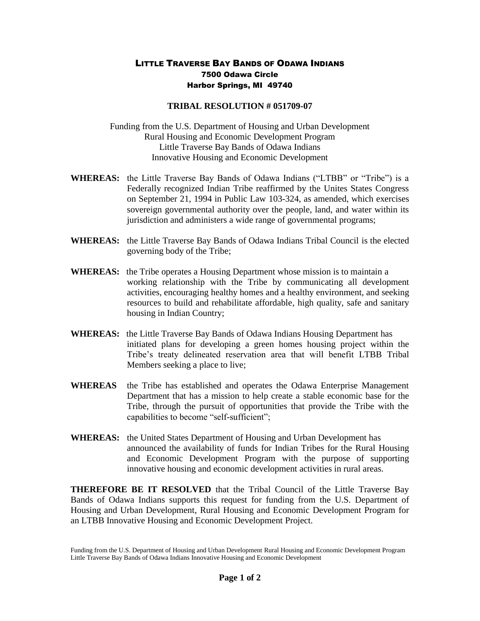## LITTLE TRAVERSE BAY BANDS OF ODAWA INDIANS 7500 Odawa Circle Harbor Springs, MI 49740

## **TRIBAL RESOLUTION # 051709-07**

Funding from the U.S. Department of Housing and Urban Development Rural Housing and Economic Development Program Little Traverse Bay Bands of Odawa Indians Innovative Housing and Economic Development

- **WHEREAS:** the Little Traverse Bay Bands of Odawa Indians ("LTBB" or "Tribe") is a Federally recognized Indian Tribe reaffirmed by the Unites States Congress on September 21, 1994 in Public Law 103-324, as amended, which exercises sovereign governmental authority over the people, land, and water within its jurisdiction and administers a wide range of governmental programs;
- **WHEREAS:** the Little Traverse Bay Bands of Odawa Indians Tribal Council is the elected governing body of the Tribe;
- **WHEREAS:** the Tribe operates a Housing Department whose mission is to maintain a working relationship with the Tribe by communicating all development activities, encouraging healthy homes and a healthy environment, and seeking resources to build and rehabilitate affordable, high quality, safe and sanitary housing in Indian Country;
- **WHEREAS:** the Little Traverse Bay Bands of Odawa Indians Housing Department has initiated plans for developing a green homes housing project within the Tribe's treaty delineated reservation area that will benefit LTBB Tribal Members seeking a place to live;
- **WHEREAS** the Tribe has established and operates the Odawa Enterprise Management Department that has a mission to help create a stable economic base for the Tribe, through the pursuit of opportunities that provide the Tribe with the capabilities to become "self-sufficient";
- **WHEREAS:** the United States Department of Housing and Urban Development has announced the availability of funds for Indian Tribes for the Rural Housing and Economic Development Program with the purpose of supporting innovative housing and economic development activities in rural areas.

**THEREFORE BE IT RESOLVED** that the Tribal Council of the Little Traverse Bay Bands of Odawa Indians supports this request for funding from the U.S. Department of Housing and Urban Development, Rural Housing and Economic Development Program for an LTBB Innovative Housing and Economic Development Project.

Funding from the U.S. Department of Housing and Urban Development Rural Housing and Economic Development Program Little Traverse Bay Bands of Odawa Indians Innovative Housing and Economic Development